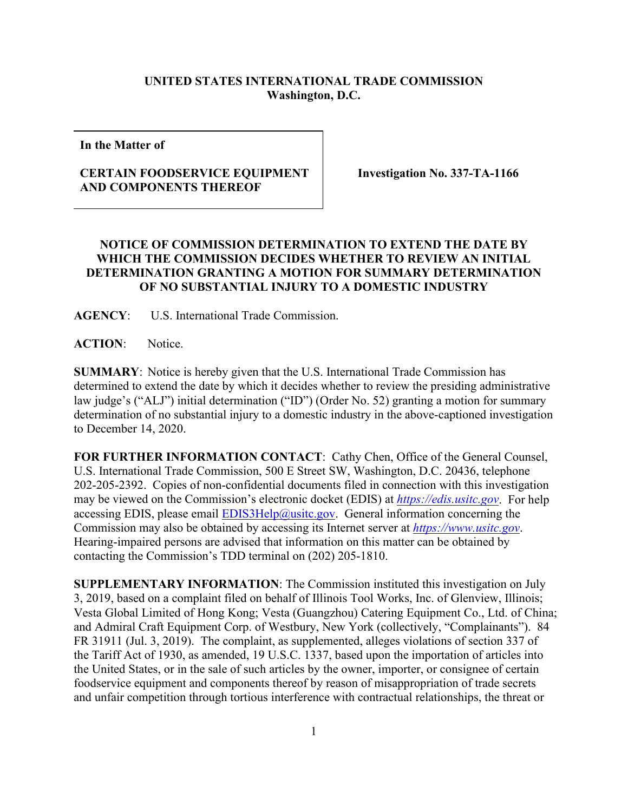## **UNITED STATES INTERNATIONAL TRADE COMMISSION Washington, D.C.**

**In the Matter of**

## **CERTAIN FOODSERVICE EQUIPMENT AND COMPONENTS THEREOF**

**Investigation No. 337-TA-1166**

## **NOTICE OF COMMISSION DETERMINATION TO EXTEND THE DATE BY WHICH THE COMMISSION DECIDES WHETHER TO REVIEW AN INITIAL DETERMINATION GRANTING A MOTION FOR SUMMARY DETERMINATION OF NO SUBSTANTIAL INJURY TO A DOMESTIC INDUSTRY**

**AGENCY**: U.S. International Trade Commission.

**ACTION**: Notice.

**SUMMARY**: Notice is hereby given that the U.S. International Trade Commission has determined to extend the date by which it decides whether to review the presiding administrative law judge's ("ALJ") initial determination ("ID") (Order No. 52) granting a motion for summary determination of no substantial injury to a domestic industry in the above-captioned investigation to December 14, 2020.

**FOR FURTHER INFORMATION CONTACT**: Cathy Chen, Office of the General Counsel, U.S. International Trade Commission, 500 E Street SW, Washington, D.C. 20436, telephone 202-205-2392. Copies of non-confidential documents filed in connection with this investigation may be viewed on the Commission's electronic docket (EDIS) at *[https://edis.usitc.gov](https://edis.usitc.gov/)*. For help accessing EDIS, please email  $EDIS3Help@usite.gov$ . General information concerning the Commission may also be obtained by accessing its Internet server at *[https://www.usitc.gov](https://www.usitc.gov/)*. Hearing-impaired persons are advised that information on this matter can be obtained by contacting the Commission's TDD terminal on (202) 205-1810.

**SUPPLEMENTARY INFORMATION**: The Commission instituted this investigation on July 3, 2019, based on a complaint filed on behalf of Illinois Tool Works, Inc. of Glenview, Illinois; Vesta Global Limited of Hong Kong; Vesta (Guangzhou) Catering Equipment Co., Ltd. of China; and Admiral Craft Equipment Corp. of Westbury, New York (collectively, "Complainants"). 84 FR 31911 (Jul. 3, 2019). The complaint, as supplemented, alleges violations of section 337 of the Tariff Act of 1930, as amended, 19 U.S.C. 1337, based upon the importation of articles into the United States, or in the sale of such articles by the owner, importer, or consignee of certain foodservice equipment and components thereof by reason of misappropriation of trade secrets and unfair competition through tortious interference with contractual relationships, the threat or